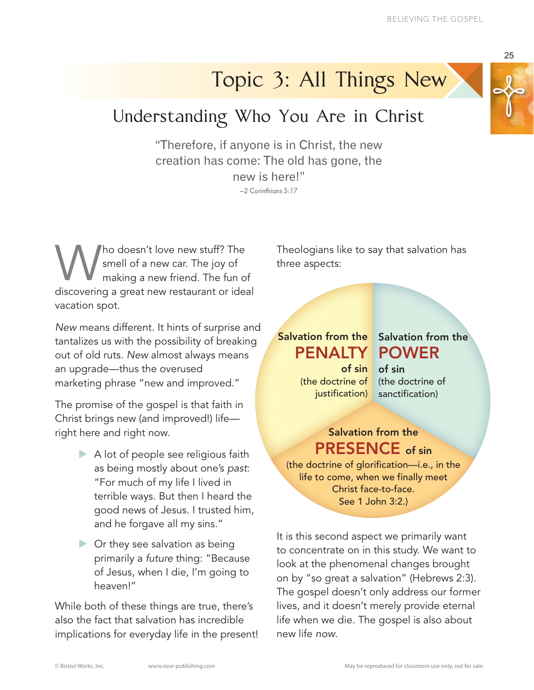## Topic 3: All Things New

## Understanding Who You Are in Christ

"Therefore, if anyone is in Christ, the new creation has come: The old has gone, the new is here!"

—2 Corinthians 5:17

Who doesn't love new stuff? The<br>smell of a new car. The joy of<br>making a new friend. The fun of<br>discovering a great new restaurant or idea smell of a new car. The joy of making a new friend. The fun of discovering a great new restaurant or ideal vacation spot.

*New* means different. It hints of surprise and tantalizes us with the possibility of breaking out of old ruts. *New* almost always means an upgrade—thus the overused marketing phrase "new and improved."

The promise of the gospel is that faith in Christ brings new (and improved!) life right here and right now.

- $\triangleright$  A lot of people see religious faith as being mostly about one's *past*: "For much of my life I lived in terrible ways. But then I heard the good news of Jesus. I trusted him, and he forgave all my sins."
- $\triangleright$  Or they see salvation as being primarily a *future* thing: "Because of Jesus, when I die, I'm going to heaven!"

While both of these things are true, there's also the fact that salvation has incredible implications for everyday life in the present! Theologians like to say that salvation has three aspects:

PENALTY POWER of sin of sin (the doctrine of (the doctrine of justification)

## Salvation from the Salvation from the

sanctification)

## Salvation from the PRESENCE of sin

(the doctrine of glorification—i.e., in the life to come, when we finally meet Christ face-to-face. See 1 John 3:2.)

It is this second aspect we primarily want to concentrate on in this study. We want to look at the phenomenal changes brought on by "so great a salvation" (Hebrews 2:3). The gospel doesn't only address our former lives, and it doesn't merely provide eternal life when we die. The gospel is also about new life *now*.

25